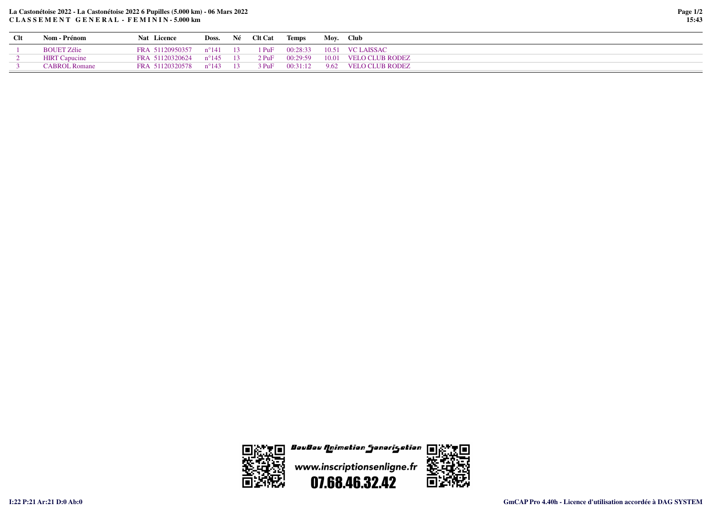## **La Castonétoise 2022 - La Castonétoise 2022 6 Pupilles (5.000 km) - 06 Mars 2022C L A S S E M E N T G E N E R A L - F E M I N I N - 5.000 km**

| Page 1/2 |       |
|----------|-------|
|          | 15:43 |

| <b>Clt</b> | Nom - Prénom         | Nat Licence                                                    |  | Doss. Né Clt Cat Temps Moy. Club |                                                   |
|------------|----------------------|----------------------------------------------------------------|--|----------------------------------|---------------------------------------------------|
|            | <b>BOUET Zélie</b>   | FRA 51120950357  n°141  13  1 PuF  00:28:33  10.51  VC LAISSAC |  |                                  |                                                   |
|            | <b>HIRT</b> Capucine | FRA 51120320624 n°145 13                                       |  |                                  | 2 PuF 00:29:59 10.01 VELO CLUB RODEZ              |
|            | CABROL Romane        | FRA 51120320578 n°143 13                                       |  |                                  | $3 \text{ PuF}$ $00:31:12$ $9.62$ VELO CLUB RODEZ |